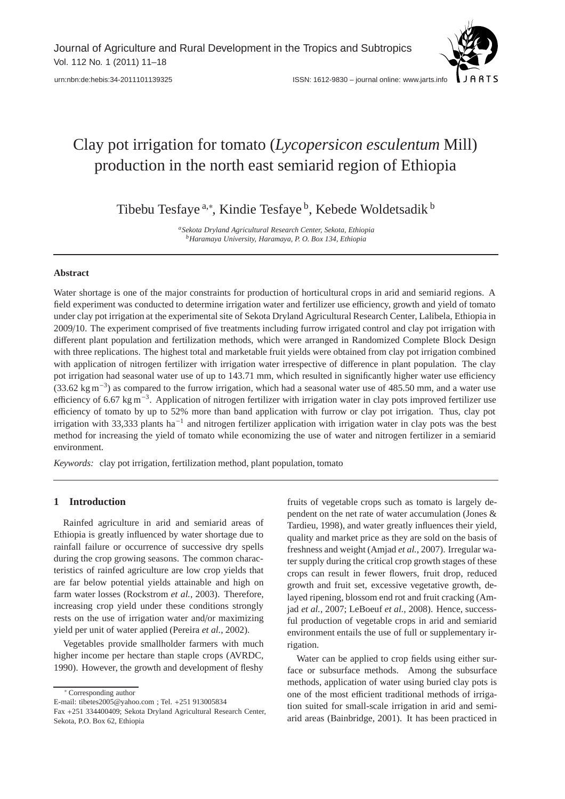

# Clay pot irrigation for tomato (*Lycopersicon esculentum* Mill) production in the north east semiarid region of Ethiopia

Tibebu Tesfaye <sup>a,∗</sup>, Kindie Tesfaye <sup>b</sup>, Kebede Woldetsadik <sup>b</sup>

*aSekota Dryland Agricultural Research Center, Sekota, Ethiopia bHaramaya University, Haramaya, P. O. Box 134, Ethiopia*

## **Abstract**

Water shortage is one of the major constraints for production of horticultural crops in arid and semiarid regions. A field experiment was conducted to determine irrigation water and fertilizer use efficiency, growth and yield of tomato under clay pot irrigation at the experimental site of Sekota Dryland Agricultural Research Center, Lalibela, Ethiopia in 2009/10. The experiment comprised of five treatments including furrow irrigated control and clay pot irrigation with different plant population and fertilization methods, which were arranged in Randomized Complete Block Design with three replications. The highest total and marketable fruit yields were obtained from clay pot irrigation combined with application of nitrogen fertilizer with irrigation water irrespective of difference in plant population. The clay pot irrigation had seasonal water use of up to 143.71 mm, which resulted in significantly higher water use efficiency (33.62 kg m−3) as compared to the furrow irrigation, which had a seasonal water use of 485.50 mm, and a water use efficiency of 6.67 kg m−3. Application of nitrogen fertilizer with irrigation water in clay pots improved fertilizer use efficiency of tomato by up to 52% more than band application with furrow or clay pot irrigation. Thus, clay pot irrigation with 33,333 plants ha<sup>-1</sup> and nitrogen fertilizer application with irrigation water in clay pots was the best method for increasing the yield of tomato while economizing the use of water and nitrogen fertilizer in a semiarid environment.

*Keywords:* clay pot irrigation, fertilization method, plant population, tomato

# **1 Introduction**

Rainfed agriculture in arid and semiarid areas of Ethiopia is greatly influenced by water shortage due to rainfall failure or occurrence of successive dry spells during the crop growing seasons. The common characteristics of rainfed agriculture are low crop yields that are far below potential yields attainable and high on farm water losses (Rockstrom *et al.*, 2003). Therefore, increasing crop yield under these conditions strongly rests on the use of irrigation water and/or maximizing yield per unit of water applied (Pereira *et al.*, 2002).

Vegetables provide smallholder farmers with much higher income per hectare than staple crops (AVRDC, 1990). However, the growth and development of fleshy

∗ Corresponding author

E-mail: tibetes2005@yahoo.com ; Tel. +251 913005834

Fax +251 334400409; Sekota Dryland Agricultural Research Center, Sekota, P.O. Box 62, Ethiopia

fruits of vegetable crops such as tomato is largely dependent on the net rate of water accumulation (Jones & Tardieu, 1998), and water greatly influences their yield, quality and market price as they are sold on the basis of freshness and weight (Amjad *et al.*, 2007). Irregular water supply during the critical crop growth stages of these crops can result in fewer flowers, fruit drop, reduced growth and fruit set, excessive vegetative growth, delayed ripening, blossom end rot and fruit cracking (Amjad *et al.*, 2007; LeBoeuf *et al.*, 2008). Hence, successful production of vegetable crops in arid and semiarid environment entails the use of full or supplementary irrigation.

Water can be applied to crop fields using either surface or subsurface methods. Among the subsurface methods, application of water using buried clay pots is one of the most efficient traditional methods of irrigation suited for small-scale irrigation in arid and semiarid areas (Bainbridge, 2001). It has been practiced in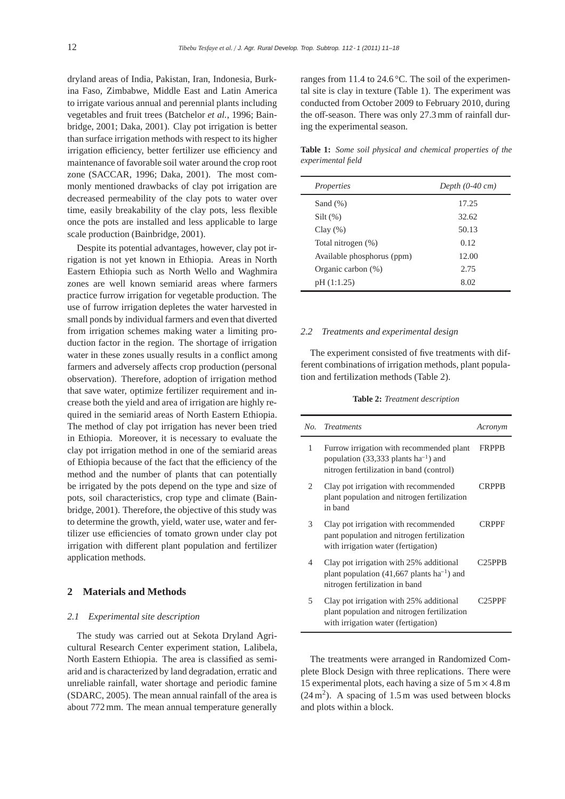dryland areas of India, Pakistan, Iran, Indonesia, Burkina Faso, Zimbabwe, Middle East and Latin America to irrigate various annual and perennial plants including vegetables and fruit trees (Batchelor *et al.*, 1996; Bainbridge, 2001; Daka, 2001). Clay pot irrigation is better than surface irrigation methods with respect to its higher irrigation efficiency, better fertilizer use efficiency and maintenance of favorable soil water around the crop root zone (SACCAR, 1996; Daka, 2001). The most commonly mentioned drawbacks of clay pot irrigation are decreased permeability of the clay pots to water over time, easily breakability of the clay pots, less flexible once the pots are installed and less applicable to large scale production (Bainbridge, 2001).

Despite its potential advantages, however, clay pot irrigation is not yet known in Ethiopia. Areas in North Eastern Ethiopia such as North Wello and Waghmira zones are well known semiarid areas where farmers practice furrow irrigation for vegetable production. The use of furrow irrigation depletes the water harvested in small ponds by individual farmers and even that diverted from irrigation schemes making water a limiting production factor in the region. The shortage of irrigation water in these zones usually results in a conflict among farmers and adversely affects crop production (personal observation). Therefore, adoption of irrigation method that save water, optimize fertilizer requirement and increase both the yield and area of irrigation are highly required in the semiarid areas of North Eastern Ethiopia. The method of clay pot irrigation has never been tried in Ethiopia. Moreover, it is necessary to evaluate the clay pot irrigation method in one of the semiarid areas of Ethiopia because of the fact that the efficiency of the method and the number of plants that can potentially be irrigated by the pots depend on the type and size of pots, soil characteristics, crop type and climate (Bainbridge, 2001). Therefore, the objective of this study was to determine the growth, yield, water use, water and fertilizer use efficiencies of tomato grown under clay pot irrigation with different plant population and fertilizer application methods.

## **2 Materials and Methods**

## *2.1 Experimental site description*

The study was carried out at Sekota Dryland Agricultural Research Center experiment station, Lalibela, North Eastern Ethiopia. The area is classified as semiarid and is characterized by land degradation, erratic and unreliable rainfall, water shortage and periodic famine (SDARC, 2005). The mean annual rainfall of the area is about 772 mm. The mean annual temperature generally

ranges from 11.4 to 24.6 °C. The soil of the experimental site is clay in texture (Table 1). The experiment was conducted from October 2009 to February 2010, during the off-season. There was only 27.3 mm of rainfall during the experimental season.

**Table 1:** *Some soil physical and chemical properties of the experimental field*

| Properties                 | Depth $(0-40 \text{ cm})$ |
|----------------------------|---------------------------|
| Sand $(\%)$                | 17.25                     |
| $Silt(\%)$                 | 32.62                     |
| Clay(%)                    | 50.13                     |
| Total nitrogen (%)         | 0.12                      |
| Available phosphorus (ppm) | 12.00                     |
| Organic carbon (%)         | 2.75                      |
| pH (1:1.25)                | 8.02                      |
|                            |                           |

#### *2.2 Treatments and experimental design*

The experiment consisted of five treatments with different combinations of irrigation methods, plant population and fertilization methods (Table 2).

## **Table 2:** *Treatment description*

| No. | <i>Treatments</i>                                                                                                                 | Acronym             |
|-----|-----------------------------------------------------------------------------------------------------------------------------------|---------------------|
| 1   | Furrow irrigation with recommended plant<br>population (33,333 plants $ha^{-1}$ ) and<br>nitrogen fertilization in band (control) | <b>FRPPB</b>        |
| 2   | Clay pot irrigation with recommended<br>plant population and nitrogen fertilization<br>in hand                                    | <b>CRPPB</b>        |
| 3   | Clay pot irrigation with recommended<br>pant population and nitrogen fertilization<br>with irrigation water (fertigation)         | <b>CRPPF</b>        |
| 4   | Clay pot irrigation with 25% additional<br>plant population (41,667 plants $ha^{-1}$ ) and<br>nitrogen fertilization in band      | C <sub>25</sub> PPB |
| 5   | Clay pot irrigation with 25% additional<br>plant population and nitrogen fertilization<br>with irrigation water (fertigation)     | C <sub>25</sub> PPF |

The treatments were arranged in Randomized Complete Block Design with three replications. There were 15 experimental plots, each having a size of  $5 \text{ m} \times 4.8 \text{ m}$  $(24 \text{ m}^2)$ . A spacing of 1.5 m was used between blocks and plots within a block.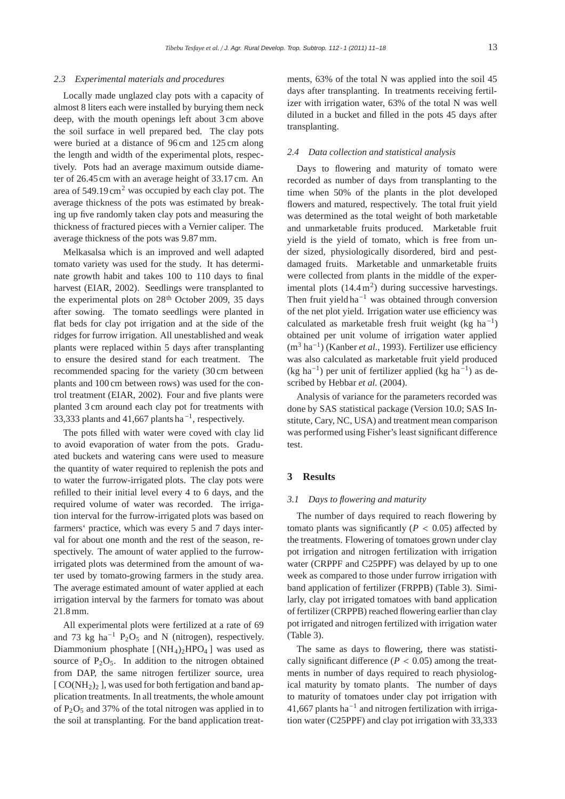#### *2.3 Experimental materials and procedures*

Locally made unglazed clay pots with a capacity of almost 8 liters each were installed by burying them neck deep, with the mouth openings left about 3 cm above the soil surface in well prepared bed. The clay pots were buried at a distance of 96 cm and 125 cm along the length and width of the experimental plots, respectively. Pots had an average maximum outside diameter of 26.45 cm with an average height of 33.17 cm. An area of  $549.19 \text{ cm}^2$  was occupied by each clay pot. The average thickness of the pots was estimated by breaking up five randomly taken clay pots and measuring the thickness of fractured pieces with a Vernier caliper. The average thickness of the pots was 9.87 mm.

Melkasalsa which is an improved and well adapted tomato variety was used for the study. It has determinate growth habit and takes 100 to 110 days to final harvest (EIAR, 2002). Seedlings were transplanted to the experimental plots on  $28<sup>th</sup>$  October 2009, 35 days after sowing. The tomato seedlings were planted in flat beds for clay pot irrigation and at the side of the ridges for furrow irrigation. All unestablished and weak plants were replaced within 5 days after transplanting to ensure the desired stand for each treatment. The recommended spacing for the variety (30 cm between plants and 100 cm between rows) was used for the control treatment (EIAR, 2002). Four and five plants were planted 3 cm around each clay pot for treatments with 33,333 plants and 41,667 plants ha−1, respectively.

The pots filled with water were coved with clay lid to avoid evaporation of water from the pots. Graduated buckets and watering cans were used to measure the quantity of water required to replenish the pots and to water the furrow-irrigated plots. The clay pots were refilled to their initial level every 4 to 6 days, and the required volume of water was recorded. The irrigation interval for the furrow-irrigated plots was based on farmers' practice, which was every 5 and 7 days interval for about one month and the rest of the season, respectively. The amount of water applied to the furrowirrigated plots was determined from the amount of water used by tomato-growing farmers in the study area. The average estimated amount of water applied at each irrigation interval by the farmers for tomato was about 21.8 mm.

All experimental plots were fertilized at a rate of 69 and 73 kg ha<sup>-1</sup> P<sub>2</sub>O<sub>5</sub> and N (nitrogen), respectively. Diammonium phosphate  $[(NH_4)_2HPO_4]$  was used as source of  $P_2O_5$ . In addition to the nitrogen obtained from DAP, the same nitrogen fertilizer source, urea  $[CO(NH<sub>2</sub>)<sub>2</sub>]$ , was used for both fertigation and band application treatments. In all treatments, the whole amount of  $P_2O_5$  and 37% of the total nitrogen was applied in to the soil at transplanting. For the band application treatments, 63% of the total N was applied into the soil 45 days after transplanting. In treatments receiving fertilizer with irrigation water, 63% of the total N was well diluted in a bucket and filled in the pots 45 days after transplanting.

## *2.4 Data collection and statistical analysis*

Days to flowering and maturity of tomato were recorded as number of days from transplanting to the time when 50% of the plants in the plot developed flowers and matured, respectively. The total fruit yield was determined as the total weight of both marketable and unmarketable fruits produced. Marketable fruit yield is the yield of tomato, which is free from under sized, physiologically disordered, bird and pestdamaged fruits. Marketable and unmarketable fruits were collected from plants in the middle of the experimental plots  $(14.4 \text{ m}^2)$  during successive harvestings. Then fruit yield ha<sup> $-1$ </sup> was obtained through conversion of the net plot yield. Irrigation water use efficiency was calculated as marketable fresh fruit weight (kg ha<sup>-1</sup>) obtained per unit volume of irrigation water applied (m<sup>3</sup> ha−1) (Kanber *et al.*, 1993). Fertilizer use efficiency was also calculated as marketable fruit yield produced (kg ha<sup>-1</sup>) per unit of fertilizer applied (kg ha<sup>-1</sup>) as described by Hebbar *et al.* (2004).

Analysis of variance for the parameters recorded was done by SAS statistical package (Version 10.0; SAS Institute, Cary, NC, USA) and treatment mean comparison was performed using Fisher's least significant difference test.

## **3 Results**

#### *3.1 Days to flowering and maturity*

The number of days required to reach flowering by tomato plants was significantly ( $P < 0.05$ ) affected by the treatments. Flowering of tomatoes grown under clay pot irrigation and nitrogen fertilization with irrigation water (CRPPF and C25PPF) was delayed by up to one week as compared to those under furrow irrigation with band application of fertilizer (FRPPB) (Table 3). Similarly, clay pot irrigated tomatoes with band application of fertilizer (CRPPB) reached flowering earlier than clay pot irrigated and nitrogen fertilized with irrigation water (Table 3).

The same as days to flowering, there was statistically significant difference ( $P < 0.05$ ) among the treatments in number of days required to reach physiological maturity by tomato plants. The number of days to maturity of tomatoes under clay pot irrigation with 41,667 plants ha<sup> $-1$ </sup> and nitrogen fertilization with irrigation water (C25PPF) and clay pot irrigation with 33,333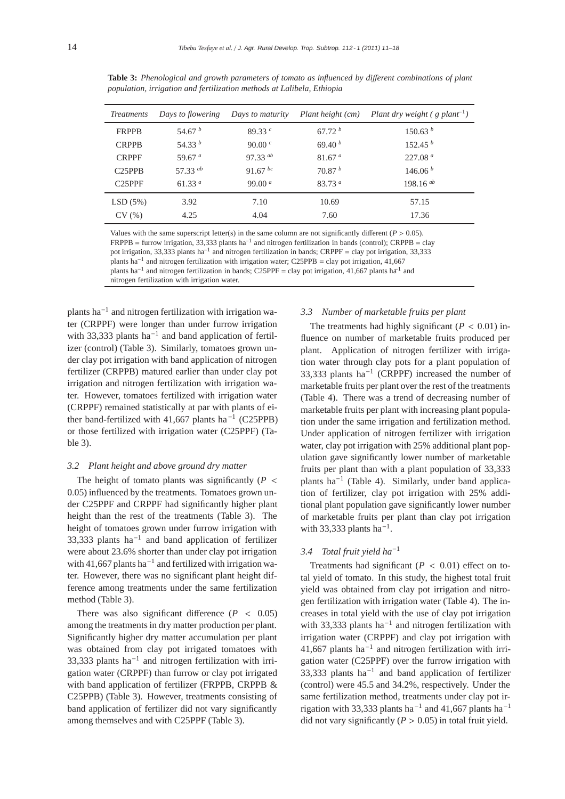| <i>Treatments</i>   | Days to flowering | Days to maturity | Plant height (cm)  | Plant dry weight $(g$ plant <sup>-1</sup> ) |
|---------------------|-------------------|------------------|--------------------|---------------------------------------------|
| <b>FRPPB</b>        | 54.67 $^b$        | 89.33 $^{\circ}$ | 67.72h             | 150.63 <sup>b</sup>                         |
| <b>CRPPB</b>        | 54.33 $^b$        | 90.00 $^{c}$     | 69.40 <sup>b</sup> | 152.45 <sup>b</sup>                         |
| <b>CRPPF</b>        | 59.67 $a$         | $97.33^{ab}$     | 81.67 <sup>a</sup> | 227.08 <sup>a</sup>                         |
| C25PPB              | 57.33 $ab$        | 91.67 $^{bc}$    | 70.87 <sup>b</sup> | 146.06 <sup>b</sup>                         |
| C <sub>25</sub> PPF | 61.33 $a$         | 99.00 $a$        | 83.73a             | 198.16 $ab$                                 |
| LSD(5%)             | 3.92              | 7.10             | 10.69              | 57.15                                       |
| CV(%)               | 4.25              | 4.04             | 7.60               | 17.36                                       |

**Table 3:** *Phenological and growth parameters of tomato as influenced by di*ff*erent combinations of plant population, irrigation and fertilization methods at Lalibela, Ethiopia*

Values with the same superscript letter(s) in the same column are not significantly different ( $P > 0.05$ ). FRPPB = furrow irrigation, 33,333 plants ha−<sup>1</sup> and nitrogen fertilization in bands (control); CRPPB = clay pot irrigation, 33,333 plants ha−<sup>1</sup> and nitrogen fertilization in bands; CRPPF = clay pot irrigation, 33,333 plants ha<sup>-1</sup> and nitrogen fertilization with irrigation water; C25PPB = clay pot irrigation, 41,667 plants ha<sup>-1</sup> and nitrogen fertilization in bands; C25PPF = clay pot irrigation, 41,667 plants ha<sup>-1</sup> and nitrogen fertilization with irrigation water.

plants ha−<sup>1</sup> and nitrogen fertilization with irrigation water (CRPPF) were longer than under furrow irrigation with 33,333 plants ha<sup>-1</sup> and band application of fertilizer (control) (Table 3). Similarly, tomatoes grown under clay pot irrigation with band application of nitrogen fertilizer (CRPPB) matured earlier than under clay pot irrigation and nitrogen fertilization with irrigation water. However, tomatoes fertilized with irrigation water (CRPPF) remained statistically at par with plants of either band-fertilized with 41,667 plants ha−<sup>1</sup> (C25PPB) or those fertilized with irrigation water (C25PPF) (Table 3).

## *3.2 Plant height and above ground dry matter*

The height of tomato plants was significantly  $(P \leq$ 0.05) influenced by the treatments. Tomatoes grown under C25PPF and CRPPF had significantly higher plant height than the rest of the treatments (Table 3). The height of tomatoes grown under furrow irrigation with 33,333 plants ha<sup> $-1$ </sup> and band application of fertilizer were about 23.6% shorter than under clay pot irrigation with 41,667 plants ha<sup>-1</sup> and fertilized with irrigation water. However, there was no significant plant height difference among treatments under the same fertilization method (Table 3).

There was also significant difference  $(P < 0.05)$ among the treatments in dry matter production per plant. Significantly higher dry matter accumulation per plant was obtained from clay pot irrigated tomatoes with 33,333 plants ha−<sup>1</sup> and nitrogen fertilization with irrigation water (CRPPF) than furrow or clay pot irrigated with band application of fertilizer (FRPPB, CRPPB & C25PPB) (Table 3). However, treatments consisting of band application of fertilizer did not vary significantly among themselves and with C25PPF (Table 3).

# *3.3 Number of marketable fruits per plant*

The treatments had highly significant ( $P < 0.01$ ) influence on number of marketable fruits produced per plant. Application of nitrogen fertilizer with irrigation water through clay pots for a plant population of 33,333 plants ha<sup> $-1$ </sup> (CRPPF) increased the number of marketable fruits per plant over the rest of the treatments (Table 4). There was a trend of decreasing number of marketable fruits per plant with increasing plant population under the same irrigation and fertilization method. Under application of nitrogen fertilizer with irrigation water, clay pot irrigation with 25% additional plant population gave significantly lower number of marketable fruits per plant than with a plant population of 33,333 plants ha<sup>-1</sup> (Table 4). Similarly, under band application of fertilizer, clay pot irrigation with 25% additional plant population gave significantly lower number of marketable fruits per plant than clay pot irrigation with 33,333 plants ha<sup>-1</sup>.

## *3.4 Total fruit yield ha*−<sup>1</sup>

Treatments had significant ( $P < 0.01$ ) effect on total yield of tomato. In this study, the highest total fruit yield was obtained from clay pot irrigation and nitrogen fertilization with irrigation water (Table 4). The increases in total yield with the use of clay pot irrigation with 33,333 plants ha<sup>-1</sup> and nitrogen fertilization with irrigation water (CRPPF) and clay pot irrigation with 41,667 plants ha−<sup>1</sup> and nitrogen fertilization with irrigation water (C25PPF) over the furrow irrigation with 33,333 plants ha−<sup>1</sup> and band application of fertilizer (control) were 45.5 and 34.2%, respectively. Under the same fertilization method, treatments under clay pot irrigation with 33,333 plants ha<sup>-1</sup> and 41,667 plants ha<sup>-1</sup> did not vary significantly ( $P > 0.05$ ) in total fruit yield.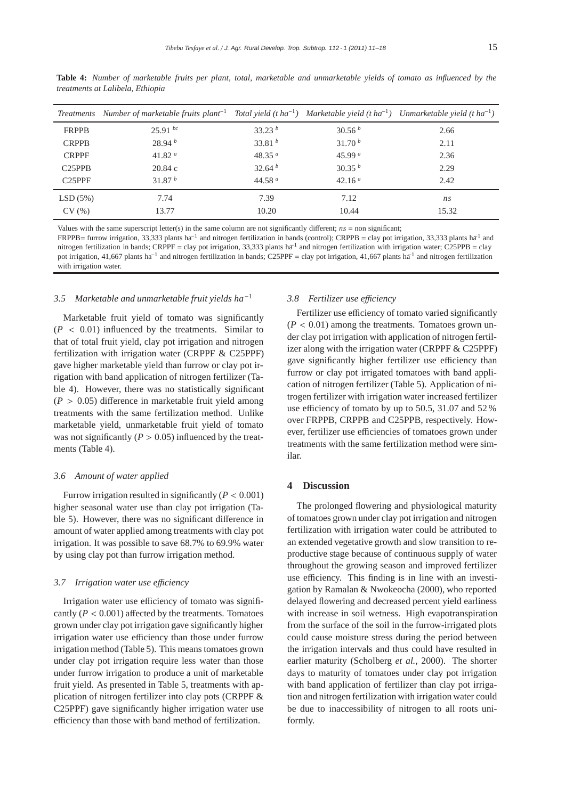|                     | Treatments Number of marketable fruits plant <sup>-1</sup> |                    |                    | Total yield (t ha <sup>-1</sup> ) Marketable yield (t ha <sup>-1</sup> ) Unmarketable yield (t ha <sup>-1</sup> ) |
|---------------------|------------------------------------------------------------|--------------------|--------------------|-------------------------------------------------------------------------------------------------------------------|
| <b>FRPPB</b>        | $25.91^{bc}$                                               | 33.23 <sup>b</sup> | 30.56 <sup>b</sup> | 2.66                                                                                                              |
| <b>CRPPB</b>        | 28.94h                                                     | 33.81 $^b$         | 31.70h             | 2.11                                                                                                              |
| <b>CRPPF</b>        | 41.82 $a$                                                  | 48.35 $a$          | 45.99 $a$          | 2.36                                                                                                              |
| C25PPB              | 20.84c                                                     | 32.64 <sup>b</sup> | 30.35 <sup>b</sup> | 2.29                                                                                                              |
| C <sub>25</sub> PPF | 31.87 $b$                                                  | 44.58 $a$          | 42.16 $a$          | 2.42                                                                                                              |
| LSD(5%)             | 7.74                                                       | 7.39               | 7.12               | ns                                                                                                                |
| CV(%)               | 13.77                                                      | 10.20              | 10.44              | 15.32                                                                                                             |

Table 4: *Number of marketable fruits per plant, total, marketable and unmarketable yields of tomato as influenced by the treatments at Lalibela, Ethiopia*

Values with the same superscript letter(s) in the same column are not significantly different;  $ns =$  non significant; FRPPB= furrow irrigation, 33,333 plants ha<sup>-1</sup> and nitrogen fertilization in bands (control); CRPPB = clay pot irrigation, 33,333 plants ha<sup>-1</sup> and nitrogen fertilization in bands; CRPPF = clay pot irrigation, 33,333 plants ha<sup>-1</sup> and nitrogen fertilization with irrigation water; C25PPB = clay pot irrigation, 41,667 plants ha<sup>-1</sup> and nitrogen fertilization in bands; C25PPF = clay pot irrigation, 41,667 plants ha<sup>-1</sup> and nitrogen fertilization with irrigation water.

## *3.5 Marketable and unmarketable fruit yields ha*−<sup>1</sup>

Marketable fruit yield of tomato was significantly  $(P < 0.01)$  influenced by the treatments. Similar to that of total fruit yield, clay pot irrigation and nitrogen fertilization with irrigation water (CRPPF & C25PPF) gave higher marketable yield than furrow or clay pot irrigation with band application of nitrogen fertilizer (Table 4). However, there was no statistically significant  $(P > 0.05)$  difference in marketable fruit yield among treatments with the same fertilization method. Unlike marketable yield, unmarketable fruit yield of tomato was not significantly ( $P > 0.05$ ) influenced by the treatments (Table 4).

## *3.6 Amount of water applied*

Furrow irrigation resulted in significantly ( $P < 0.001$ ) higher seasonal water use than clay pot irrigation (Table 5). However, there was no significant difference in amount of water applied among treatments with clay pot irrigation. It was possible to save 68.7% to 69.9% water by using clay pot than furrow irrigation method.

#### *3.7 Irrigation water use e*ffi*ciency*

Irrigation water use efficiency of tomato was significantly  $(P < 0.001)$  affected by the treatments. Tomatoes grown under clay pot irrigation gave significantly higher irrigation water use efficiency than those under furrow irrigation method (Table 5). This means tomatoes grown under clay pot irrigation require less water than those under furrow irrigation to produce a unit of marketable fruit yield. As presented in Table 5, treatments with application of nitrogen fertilizer into clay pots (CRPPF & C25PPF) gave significantly higher irrigation water use efficiency than those with band method of fertilization.

## *3.8 Fertilizer use e*ffi*ciency*

Fertilizer use efficiency of tomato varied significantly  $(P < 0.01)$  among the treatments. Tomatoes grown under clay pot irrigation with application of nitrogen fertilizer along with the irrigation water (CRPPF & C25PPF) gave significantly higher fertilizer use efficiency than furrow or clay pot irrigated tomatoes with band application of nitrogen fertilizer (Table 5). Application of nitrogen fertilizer with irrigation water increased fertilizer use efficiency of tomato by up to 50.5, 31.07 and 52 % over FRPPB, CRPPB and C25PPB, respectively. However, fertilizer use efficiencies of tomatoes grown under treatments with the same fertilization method were similar.

#### **4 Discussion**

The prolonged flowering and physiological maturity of tomatoes grown under clay pot irrigation and nitrogen fertilization with irrigation water could be attributed to an extended vegetative growth and slow transition to reproductive stage because of continuous supply of water throughout the growing season and improved fertilizer use efficiency. This finding is in line with an investigation by Ramalan & Nwokeocha (2000), who reported delayed flowering and decreased percent yield earliness with increase in soil wetness. High evapotranspiration from the surface of the soil in the furrow-irrigated plots could cause moisture stress during the period between the irrigation intervals and thus could have resulted in earlier maturity (Scholberg *et al.*, 2000). The shorter days to maturity of tomatoes under clay pot irrigation with band application of fertilizer than clay pot irrigation and nitrogen fertilization with irrigation water could be due to inaccessibility of nitrogen to all roots uniformly.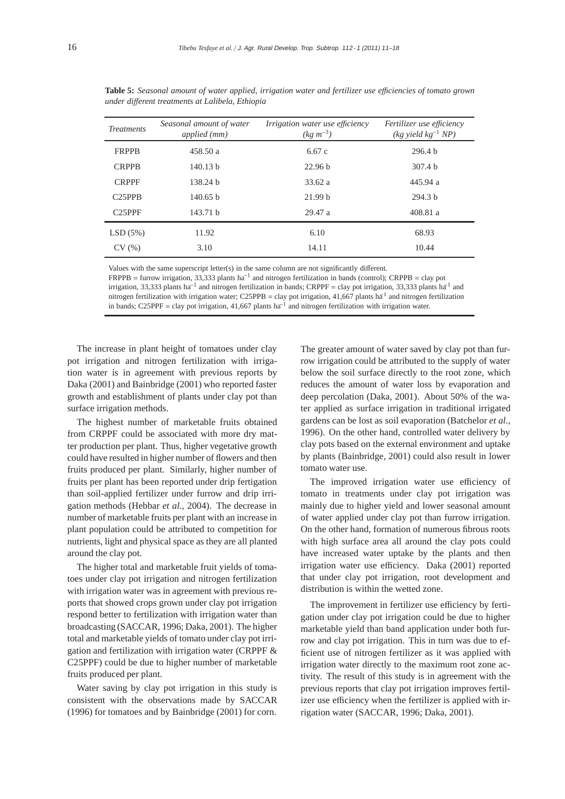| <b>Treatments</b>   | Seasonal amount of water<br>applied (mm) | <i>Irrigation water use efficiency</i><br>$(kg \, m^{-3})$ | Fertilizer use efficiency<br>$(kg$ yield $kg^{-1} NP$ ) |
|---------------------|------------------------------------------|------------------------------------------------------------|---------------------------------------------------------|
| <b>FRPPB</b>        | 458.50 a                                 | 6.67c                                                      | 296.4 h                                                 |
| <b>CRPPB</b>        | 140.13 h                                 | 22.96 b                                                    | 307.4 h                                                 |
| <b>CRPPF</b>        | 138.24 h                                 | 33.62 a                                                    | 445.94 a                                                |
| C <sub>25</sub> PPB | 140.65 h                                 | 21.99 b                                                    | 294.3 <sub>b</sub>                                      |
| $C25$ PPF           | 143.71 b                                 | 29.47 a                                                    | 408.81 a                                                |
| LSD(5%)             | 11.92                                    | 6.10                                                       | 68.93                                                   |
| CV(%)               | 3.10                                     | 14.11                                                      | 10.44                                                   |

**Table 5:** *Seasonal amount of water applied, irrigation water and fertilizer use e*ffi*ciencies of tomato grown under di*ff*erent treatments at Lalibela, Ethiopia*

Values with the same superscript letter(s) in the same column are not significantly different.

FRPPB = furrow irrigation, 33,333 plants ha−<sup>1</sup> and nitrogen fertilization in bands (control); CRPPB = clay pot irrigation, 33,333 plants ha<sup>-1</sup> and nitrogen fertilization in bands; CRPPF = clay pot irrigation, 33,333 plants ha<sup>-1</sup> and nitrogen fertilization with irrigation water; C25PPB = clay pot irrigation, 41,667 plants ha<sup>1</sup> and nitrogen fertilization in bands; C25PPF = clay pot irrigation, 41,667 plants ha−<sup>1</sup> and nitrogen fertilization with irrigation water.

The increase in plant height of tomatoes under clay pot irrigation and nitrogen fertilization with irrigation water is in agreement with previous reports by Daka (2001) and Bainbridge (2001) who reported faster growth and establishment of plants under clay pot than surface irrigation methods.

The highest number of marketable fruits obtained from CRPPF could be associated with more dry matter production per plant. Thus, higher vegetative growth could have resulted in higher number of flowers and then fruits produced per plant. Similarly, higher number of fruits per plant has been reported under drip fertigation than soil-applied fertilizer under furrow and drip irrigation methods (Hebbar *et al.*, 2004). The decrease in number of marketable fruits per plant with an increase in plant population could be attributed to competition for nutrients, light and physical space as they are all planted around the clay pot.

The higher total and marketable fruit yields of tomatoes under clay pot irrigation and nitrogen fertilization with irrigation water was in agreement with previous reports that showed crops grown under clay pot irrigation respond better to fertilization with irrigation water than broadcasting (SACCAR, 1996; Daka, 2001). The higher total and marketable yields of tomato under clay pot irrigation and fertilization with irrigation water (CRPPF & C25PPF) could be due to higher number of marketable fruits produced per plant.

Water saving by clay pot irrigation in this study is consistent with the observations made by SACCAR (1996) for tomatoes and by Bainbridge (2001) for corn.

The greater amount of water saved by clay pot than furrow irrigation could be attributed to the supply of water below the soil surface directly to the root zone, which reduces the amount of water loss by evaporation and deep percolation (Daka, 2001). About 50% of the water applied as surface irrigation in traditional irrigated gardens can be lost as soil evaporation (Batchelor *et al.*, 1996). On the other hand, controlled water delivery by clay pots based on the external environment and uptake by plants (Bainbridge, 2001) could also result in lower tomato water use.

The improved irrigation water use efficiency of tomato in treatments under clay pot irrigation was mainly due to higher yield and lower seasonal amount of water applied under clay pot than furrow irrigation. On the other hand, formation of numerous fibrous roots with high surface area all around the clay pots could have increased water uptake by the plants and then irrigation water use efficiency. Daka (2001) reported that under clay pot irrigation, root development and distribution is within the wetted zone.

The improvement in fertilizer use efficiency by fertigation under clay pot irrigation could be due to higher marketable yield than band application under both furrow and clay pot irrigation. This in turn was due to efficient use of nitrogen fertilizer as it was applied with irrigation water directly to the maximum root zone activity. The result of this study is in agreement with the previous reports that clay pot irrigation improves fertilizer use efficiency when the fertilizer is applied with irrigation water (SACCAR, 1996; Daka, 2001).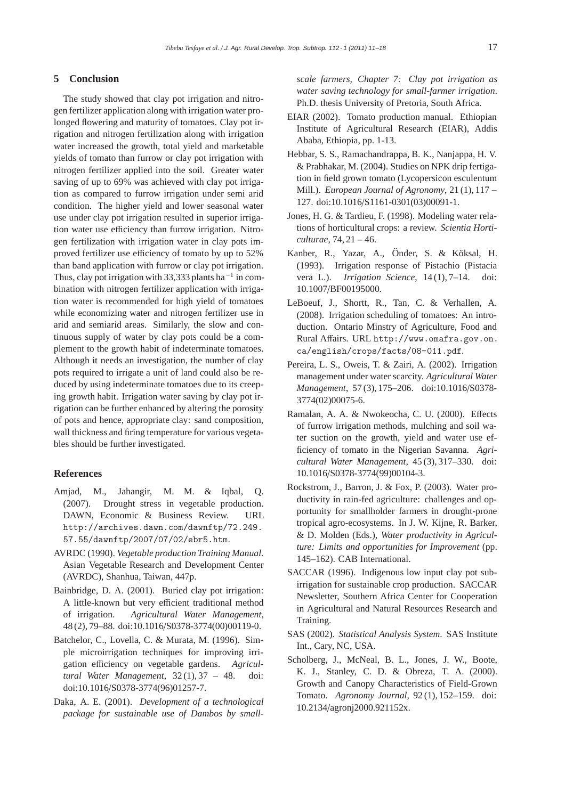# **5 Conclusion**

The study showed that clay pot irrigation and nitrogen fertilizer application along with irrigation water prolonged flowering and maturity of tomatoes. Clay pot irrigation and nitrogen fertilization along with irrigation water increased the growth, total yield and marketable yields of tomato than furrow or clay pot irrigation with nitrogen fertilizer applied into the soil. Greater water saving of up to 69% was achieved with clay pot irrigation as compared to furrow irrigation under semi arid condition. The higher yield and lower seasonal water use under clay pot irrigation resulted in superior irrigation water use efficiency than furrow irrigation. Nitrogen fertilization with irrigation water in clay pots improved fertilizer use efficiency of tomato by up to 52% than band application with furrow or clay pot irrigation. Thus, clay pot irrigation with 33,333 plants ha<sup> $-1$ </sup> in combination with nitrogen fertilizer application with irrigation water is recommended for high yield of tomatoes while economizing water and nitrogen fertilizer use in arid and semiarid areas. Similarly, the slow and continuous supply of water by clay pots could be a complement to the growth habit of indeterminate tomatoes. Although it needs an investigation, the number of clay pots required to irrigate a unit of land could also be reduced by using indeterminate tomatoes due to its creeping growth habit. Irrigation water saving by clay pot irrigation can be further enhanced by altering the porosity of pots and hence, appropriate clay: sand composition, wall thickness and firing temperature for various vegetables should be further investigated.

# **References**

- Amjad, M., Jahangir, M. M. & Iqbal, Q. (2007). Drought stress in vegetable production. DAWN, Economic & Business Review. URL http://archives.dawn.com/dawnftp/72.249. 57.55/dawnftp/2007/07/02/ebr5.htm.
- AVRDC (1990). *Vegetable production Training Manual*. Asian Vegetable Research and Development Center (AVRDC), Shanhua, Taiwan, 447p.
- Bainbridge, D. A. (2001). Buried clay pot irrigation: A little-known but very efficient traditional method of irrigation. *Agricultural Water Management*, 48 (2), 79–88. doi:10.1016/S0378-3774(00)00119-0.
- Batchelor, C., Lovella, C. & Murata, M. (1996). Simple microirrigation techniques for improving irrigation efficiency on vegetable gardens. *Agricultural Water Management*, 32 (1), 37 – 48. doi: doi:10.1016/S0378-3774(96)01257-7.
- Daka, A. E. (2001). *Development of a technological package for sustainable use of Dambos by small-*

*scale farmers, Chapter 7: Clay pot irrigation as water saving technology for small-farmer irrigation*. Ph.D. thesis University of Pretoria, South Africa.

- EIAR (2002). Tomato production manual. Ethiopian Institute of Agricultural Research (EIAR), Addis Ababa, Ethiopia, pp. 1-13.
- Hebbar, S. S., Ramachandrappa, B. K., Nanjappa, H. V. & Prabhakar, M. (2004). Studies on NPK drip fertigation in field grown tomato (Lycopersicon esculentum Mill.). *European Journal of Agronomy*, 21 (1), 117 – 127. doi:10.1016/S1161-0301(03)00091-1.
- Jones, H. G. & Tardieu, F. (1998). Modeling water relations of horticultural crops: a review. *Scientia Horticulturae*, 74, 21 – 46.
- Kanber, R., Yazar, A., Önder, S. & Köksal, H. (1993). Irrigation response of Pistachio (Pistacia vera L.). *Irrigation Science*, 14 (1), 7–14. doi: 10.1007/BF00195000.
- LeBoeuf, J., Shortt, R., Tan, C. & Verhallen, A. (2008). Irrigation scheduling of tomatoes: An introduction. Ontario Minstry of Agriculture, Food and Rural Affairs. URL http://www.omafra.gov.on. ca/english/crops/facts/08-011.pdf.
- Pereira, L. S., Oweis, T. & Zairi, A. (2002). Irrigation management under water scarcity. *Agricultural Water Management*, 57 (3), 175–206. doi:10.1016/S0378- 3774(02)00075-6.
- Ramalan, A. A. & Nwokeocha, C. U. (2000). Effects of furrow irrigation methods, mulching and soil water suction on the growth, yield and water use efficiency of tomato in the Nigerian Savanna. *Agricultural Water Management*, 45 (3), 317–330. doi: 10.1016/S0378-3774(99)00104-3.
- Rockstrom, J., Barron, J. & Fox, P. (2003). Water productivity in rain-fed agriculture: challenges and opportunity for smallholder farmers in drought-prone tropical agro-ecosystems. In J. W. Kijne, R. Barker, & D. Molden (Eds.), *Water productivity in Agriculture: Limits and opportunities for Improvement* (pp. 145–162). CAB International.
- SACCAR (1996). Indigenous low input clay pot subirrigation for sustainable crop production. SACCAR Newsletter, Southern Africa Center for Cooperation in Agricultural and Natural Resources Research and Training.
- SAS (2002). *Statistical Analysis System*. SAS Institute Int., Cary, NC, USA.
- Scholberg, J., McNeal, B. L., Jones, J. W., Boote, K. J., Stanley, C. D. & Obreza, T. A. (2000). Growth and Canopy Characteristics of Field-Grown Tomato. *Agronomy Journal*, 92 (1), 152–159. doi: 10.2134/agronj2000.921152x.